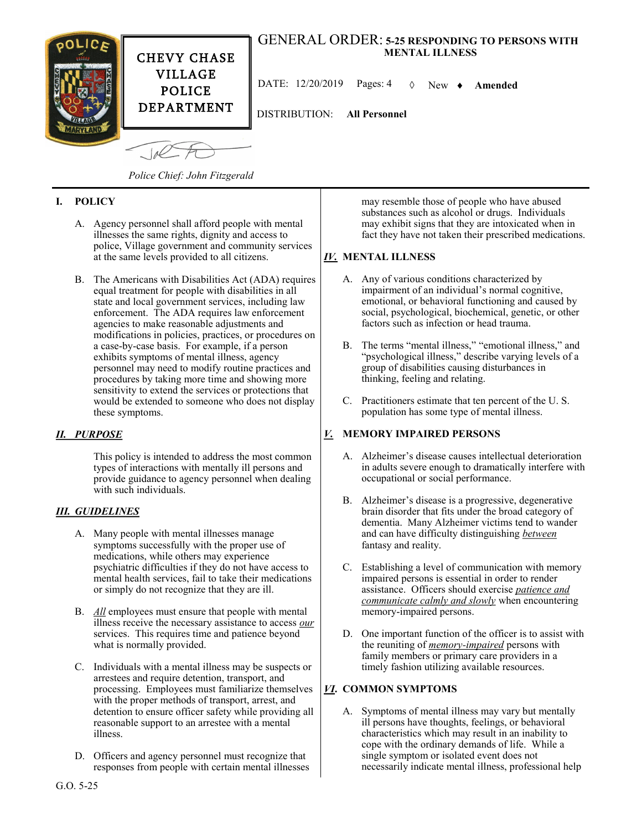

## *Police Chief: John Fitzgerald*

### **I. POLICY**

- A. Agency personnel shall afford people with mental illnesses the same rights, dignity and access to police, Village government and community services at the same levels provided to all citizens.
- B. The Americans with Disabilities Act (ADA) requires equal treatment for people with disabilities in all state and local government services, including law enforcement. The ADA requires law enforcement agencies to make reasonable adjustments and modifications in policies, practices, or procedures on a case-by-case basis. For example, if a person exhibits symptoms of mental illness, agency personnel may need to modify routine practices and procedures by taking more time and showing more sensitivity to extend the services or protections that would be extended to someone who does not display these symptoms.

#### *II. PURPOSE*

This policy is intended to address the most common types of interactions with mentally ill persons and provide guidance to agency personnel when dealing with such individuals.

#### *III. GUIDELINES*

- A. Many people with mental illnesses manage symptoms successfully with the proper use of medications, while others may experience psychiatric difficulties if they do not have access to mental health services, fail to take their medications or simply do not recognize that they are ill.
- B. *All* employees must ensure that people with mental illness receive the necessary assistance to access *our* services. This requires time and patience beyond what is normally provided.
- C. Individuals with a mental illness may be suspects or arrestees and require detention, transport, and processing. Employees must familiarize themselves with the proper methods of transport, arrest, and detention to ensure officer safety while providing all reasonable support to an arrestee with a mental illness.
- D. Officers and agency personnel must recognize that responses from people with certain mental illnesses

may resemble those of people who have abused substances such as alcohol or drugs. Individuals may exhibit signs that they are intoxicated when in fact they have not taken their prescribed medications.

### *IV.* **MENTAL ILLNESS**

- A. Any of various conditions characterized by impairment of an individual's normal cognitive, emotional, or behavioral functioning and caused by social, psychological, biochemical, genetic, or other factors such as infection or head trauma.
- B. The terms "mental illness," "emotional illness," and "psychological illness," describe varying levels of a group of disabilities causing disturbances in thinking, feeling and relating.
- C. Practitioners estimate that ten percent of the U. S. population has some type of mental illness.

### *V.* **MEMORY IMPAIRED PERSONS**

- A. Alzheimer's disease causes intellectual deterioration in adults severe enough to dramatically interfere with occupational or social performance.
- B. Alzheimer's disease is a progressive, degenerative brain disorder that fits under the broad category of dementia. Many Alzheimer victims tend to wander and can have difficulty distinguishing *between* fantasy and reality.
- C. Establishing a level of communication with memory impaired persons is essential in order to render assistance. Officers should exercise *patience and communicate calmly and slowly* when encountering memory-impaired persons.
- D. One important function of the officer is to assist with the reuniting of *memory-impaired* persons with family members or primary care providers in a timely fashion utilizing available resources.

### *VI***. COMMON SYMPTOMS**

A. Symptoms of mental illness may vary but mentally ill persons have thoughts, feelings, or behavioral characteristics which may result in an inability to cope with the ordinary demands of life. While a single symptom or isolated event does not necessarily indicate mental illness, professional help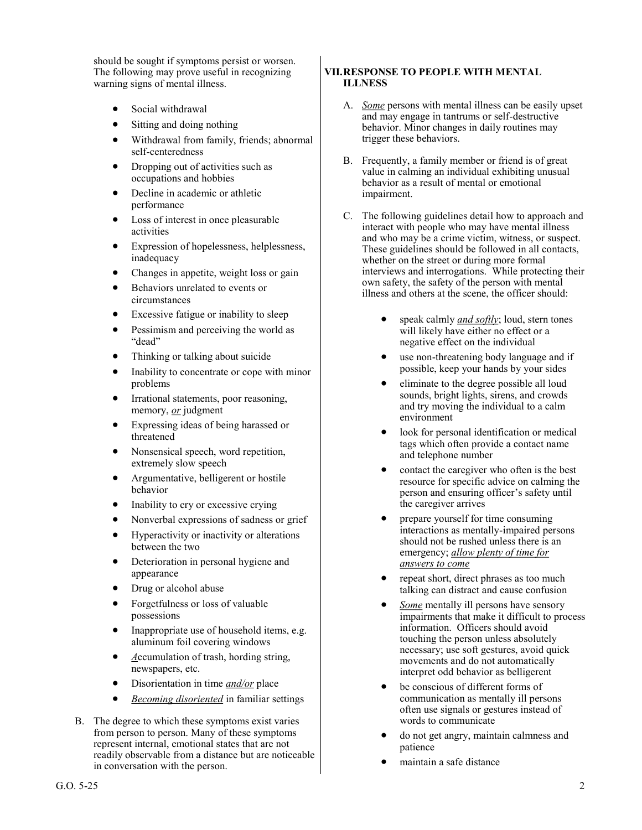should be sought if symptoms persist or worsen. The following may prove useful in recognizing warning signs of mental illness.

- Social withdrawal
- Sitting and doing nothing
- Withdrawal from family, friends; abnormal self-centeredness
- Dropping out of activities such as occupations and hobbies
- Decline in academic or athletic performance
- Loss of interest in once pleasurable activities
- Expression of hopelessness, helplessness, inadequacy
- Changes in appetite, weight loss or gain
- Behaviors unrelated to events or circumstances
- Excessive fatigue or inability to sleep
- Pessimism and perceiving the world as "dead"
- Thinking or talking about suicide
- Inability to concentrate or cope with minor problems
- Irrational statements, poor reasoning, memory, *or* judgment
- Expressing ideas of being harassed or threatened
- Nonsensical speech, word repetition, extremely slow speech
- Argumentative, belligerent or hostile behavior
- Inability to cry or excessive crying
- Nonverbal expressions of sadness or grief
- Hyperactivity or inactivity or alterations between the two
- Deterioration in personal hygiene and appearance
- Drug or alcohol abuse
- Forgetfulness or loss of valuable possessions
- Inappropriate use of household items, e.g. aluminum foil covering windows
- *A*ccumulation of trash, hording string, newspapers, etc.
- Disorientation in time *and/or* place
- *Becoming disoriented* in familiar settings
- B. The degree to which these symptoms exist varies from person to person. Many of these symptoms represent internal, emotional states that are not readily observable from a distance but are noticeable in conversation with the person.

#### **VII.RESPONSE TO PEOPLE WITH MENTAL ILLNESS**

- A. *Some* persons with mental illness can be easily upset and may engage in tantrums or self-destructive behavior. Minor changes in daily routines may trigger these behaviors.
- B. Frequently, a family member or friend is of great value in calming an individual exhibiting unusual behavior as a result of mental or emotional impairment.
- C. The following guidelines detail how to approach and interact with people who may have mental illness and who may be a crime victim, witness, or suspect. These guidelines should be followed in all contacts, whether on the street or during more formal interviews and interrogations. While protecting their own safety, the safety of the person with mental illness and others at the scene, the officer should:
	- speak calmly *and softly*; loud, stern tones will likely have either no effect or a negative effect on the individual
	- use non-threatening body language and if possible, keep your hands by your sides
	- eliminate to the degree possible all loud sounds, bright lights, sirens, and crowds and try moving the individual to a calm environment
	- look for personal identification or medical tags which often provide a contact name and telephone number
	- contact the caregiver who often is the best resource for specific advice on calming the person and ensuring officer's safety until the caregiver arrives
	- prepare yourself for time consuming interactions as mentally-impaired persons should not be rushed unless there is an emergency; *allow plenty of time for answers to come*
	- repeat short, direct phrases as too much talking can distract and cause confusion
	- *Some* mentally ill persons have sensory impairments that make it difficult to process information. Officers should avoid touching the person unless absolutely necessary; use soft gestures, avoid quick movements and do not automatically interpret odd behavior as belligerent
	- be conscious of different forms of communication as mentally ill persons often use signals or gestures instead of words to communicate
	- do not get angry, maintain calmness and patience
	- maintain a safe distance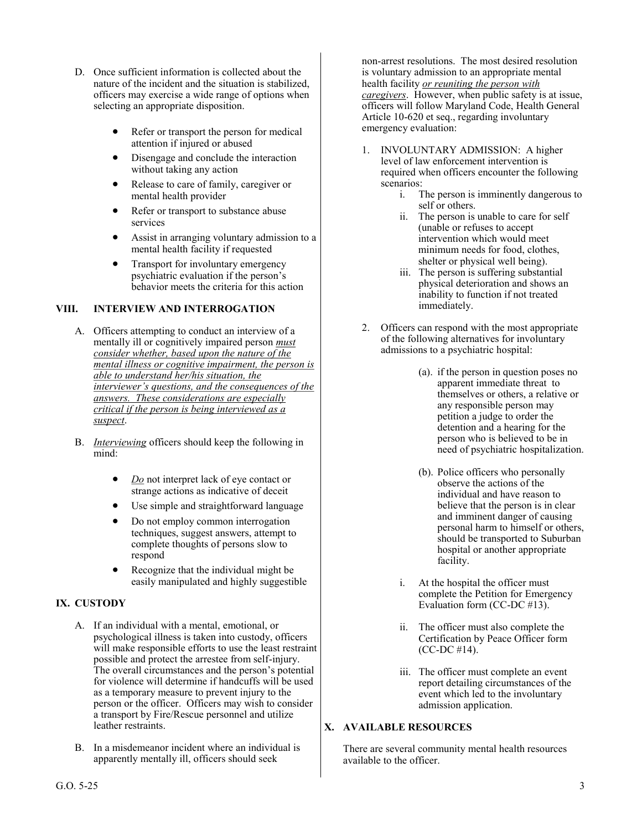- D. Once sufficient information is collected about the nature of the incident and the situation is stabilized, officers may exercise a wide range of options when selecting an appropriate disposition.
	- Refer or transport the person for medical attention if injured or abused
	- Disengage and conclude the interaction without taking any action
	- Release to care of family, caregiver or mental health provider
	- Refer or transport to substance abuse services
	- Assist in arranging voluntary admission to a mental health facility if requested
	- Transport for involuntary emergency psychiatric evaluation if the person's behavior meets the criteria for this action

## **VIII. INTERVIEW AND INTERROGATION**

- A. Officers attempting to conduct an interview of a mentally ill or cognitively impaired person *must consider whether, based upon the nature of the mental illness or cognitive impairment, the person is able to understand her/his situation, the interviewer's questions, and the consequences of the answers. These considerations are especially critical if the person is being interviewed as a suspect*.
- B. *Interviewing* officers should keep the following in mind:
	- *Do* not interpret lack of eye contact or strange actions as indicative of deceit
	- Use simple and straightforward language
	- Do not employ common interrogation techniques, suggest answers, attempt to complete thoughts of persons slow to respond
	- Recognize that the individual might be easily manipulated and highly suggestible

# **IX. CUSTODY**

- A. If an individual with a mental, emotional, or psychological illness is taken into custody, officers will make responsible efforts to use the least restraint possible and protect the arrestee from self-injury. The overall circumstances and the person's potential for violence will determine if handcuffs will be used as a temporary measure to prevent injury to the person or the officer. Officers may wish to consider a transport by Fire/Rescue personnel and utilize leather restraints.
- B. In a misdemeanor incident where an individual is apparently mentally ill, officers should seek

non-arrest resolutions. The most desired resolution is voluntary admission to an appropriate mental health facility *or reuniting the person with caregivers*. However, when public safety is at issue, officers will follow Maryland Code, Health General Article 10-620 et seq., regarding involuntary emergency evaluation:

- 1. INVOLUNTARY ADMISSION: A higher level of law enforcement intervention is required when officers encounter the following scenarios:
	- i. The person is imminently dangerous to self or others.
	- ii. The person is unable to care for self (unable or refuses to accept intervention which would meet minimum needs for food, clothes, shelter or physical well being).
	- iii. The person is suffering substantial physical deterioration and shows an inability to function if not treated immediately.
- 2. Officers can respond with the most appropriate of the following alternatives for involuntary admissions to a psychiatric hospital:
	- (a). if the person in question poses no apparent immediate threat to themselves or others, a relative or any responsible person may petition a judge to order the detention and a hearing for the person who is believed to be in need of psychiatric hospitalization.
	- (b). Police officers who personally observe the actions of the individual and have reason to believe that the person is in clear and imminent danger of causing personal harm to himself or others, should be transported to Suburban hospital or another appropriate facility.
	- i. At the hospital the officer must complete the Petition for Emergency Evaluation form (CC-DC #13).
	- The officer must also complete the Certification by Peace Officer form (CC-DC #14).
	- iii. The officer must complete an event report detailing circumstances of the event which led to the involuntary admission application.

### **X. AVAILABLE RESOURCES**

There are several community mental health resources available to the officer.